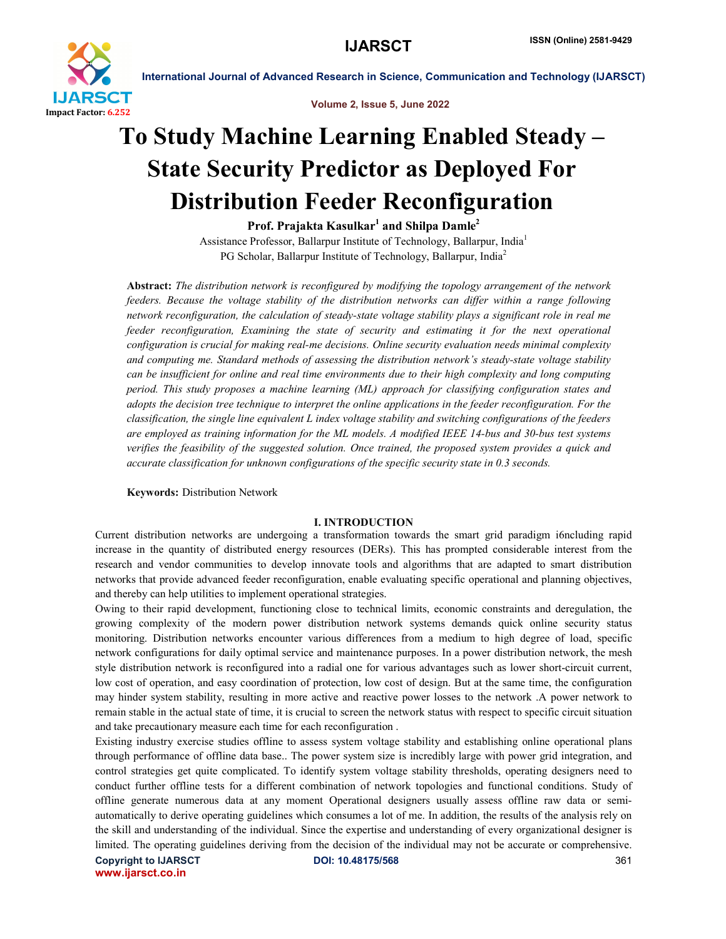

Volume 2, Issue 5, June 2022

# To Study Machine Learning Enabled Steady – State Security Predictor as Deployed For Distribution Feeder Reconfiguration

Prof. Prajakta Kasulkar<sup>1</sup> and Shilpa Damle<sup>2</sup>

Assistance Professor, Ballarpur Institute of Technology, Ballarpur, India<sup>1</sup> PG Scholar, Ballarpur Institute of Technology, Ballarpur, India<sup>2</sup>

Abstract: *The distribution network is reconfigured by modifying the topology arrangement of the network feeders. Because the voltage stability of the distribution networks can differ within a range following network reconfiguration, the calculation of steady-state voltage stability plays a significant role in real me feeder reconfiguration, Examining the state of security and estimating it for the next operational configuration is crucial for making real-me decisions. Online security evaluation needs minimal complexity and computing me. Standard methods of assessing the distribution network's steady-state voltage stability can be insufficient for online and real time environments due to their high complexity and long computing period. This study proposes a machine learning (ML) approach for classifying configuration states and adopts the decision tree technique to interpret the online applications in the feeder reconfiguration. For the classification, the single line equivalent L index voltage stability and switching configurations of the feeders are employed as training information for the ML models. A modified IEEE 14-bus and 30-bus test systems verifies the feasibility of the suggested solution. Once trained, the proposed system provides a quick and accurate classification for unknown configurations of the specific security state in 0.3 seconds.*

Keywords: Distribution Network

### I. INTRODUCTION

Current distribution networks are undergoing a transformation towards the smart grid paradigm i6ncluding rapid increase in the quantity of distributed energy resources (DERs). This has prompted considerable interest from the research and vendor communities to develop innovate tools and algorithms that are adapted to smart distribution networks that provide advanced feeder reconfiguration, enable evaluating specific operational and planning objectives, and thereby can help utilities to implement operational strategies.

Owing to their rapid development, functioning close to technical limits, economic constraints and deregulation, the growing complexity of the modern power distribution network systems demands quick online security status monitoring. Distribution networks encounter various differences from a medium to high degree of load, specific network configurations for daily optimal service and maintenance purposes. In a power distribution network, the mesh style distribution network is reconfigured into a radial one for various advantages such as lower short-circuit current, low cost of operation, and easy coordination of protection, low cost of design. But at the same time, the configuration may hinder system stability, resulting in more active and reactive power losses to the network .A power network to remain stable in the actual state of time, it is crucial to screen the network status with respect to specific circuit situation and take precautionary measure each time for each reconfiguration .

Existing industry exercise studies offline to assess system voltage stability and establishing online operational plans through performance of offline data base.. The power system size is incredibly large with power grid integration, and control strategies get quite complicated. To identify system voltage stability thresholds, operating designers need to conduct further offline tests for a different combination of network topologies and functional conditions. Study of offline generate numerous data at any moment Operational designers usually assess offline raw data or semiautomatically to derive operating guidelines which consumes a lot of me. In addition, the results of the analysis rely on the skill and understanding of the individual. Since the expertise and understanding of every organizational designer is limited. The operating guidelines deriving from the decision of the individual may not be accurate or comprehensive.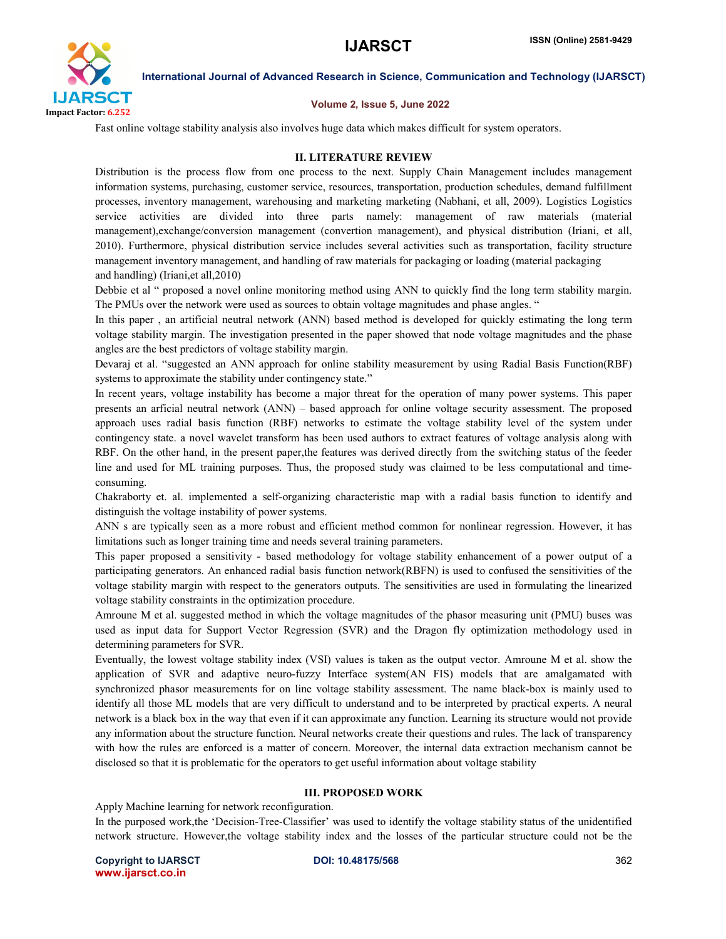

# Volume 2, Issue 5, June 2022

Fast online voltage stability analysis also involves huge data which makes difficult for system operators.

# II. LITERATURE REVIEW

Distribution is the process flow from one process to the next. Supply Chain Management includes management information systems, purchasing, customer service, resources, transportation, production schedules, demand fulfillment processes, inventory management, warehousing and marketing marketing (Nabhani, et all, 2009). Logistics Logistics service activities are divided into three parts namely: management of raw materials (material management),exchange/conversion management (convertion management), and physical distribution (Iriani, et all, 2010). Furthermore, physical distribution service includes several activities such as transportation, facility structure management inventory management, and handling of raw materials for packaging or loading (material packaging and handling) (Iriani,et all,2010)

Debbie et al " proposed a novel online monitoring method using ANN to quickly find the long term stability margin. The PMUs over the network were used as sources to obtain voltage magnitudes and phase angles. "

In this paper , an artificial neutral network (ANN) based method is developed for quickly estimating the long term voltage stability margin. The investigation presented in the paper showed that node voltage magnitudes and the phase angles are the best predictors of voltage stability margin.

Devaraj et al. "suggested an ANN approach for online stability measurement by using Radial Basis Function(RBF) systems to approximate the stability under contingency state."

In recent years, voltage instability has become a major threat for the operation of many power systems. This paper presents an arficial neutral network (ANN) – based approach for online voltage security assessment. The proposed approach uses radial basis function (RBF) networks to estimate the voltage stability level of the system under contingency state. a novel wavelet transform has been used authors to extract features of voltage analysis along with RBF. On the other hand, in the present paper,the features was derived directly from the switching status of the feeder line and used for ML training purposes. Thus, the proposed study was claimed to be less computational and timeconsuming.

Chakraborty et. al. implemented a self-organizing characteristic map with a radial basis function to identify and distinguish the voltage instability of power systems.

ANN s are typically seen as a more robust and efficient method common for nonlinear regression. However, it has limitations such as longer training time and needs several training parameters.

This paper proposed a sensitivity - based methodology for voltage stability enhancement of a power output of a participating generators. An enhanced radial basis function network(RBFN) is used to confused the sensitivities of the voltage stability margin with respect to the generators outputs. The sensitivities are used in formulating the linearized voltage stability constraints in the optimization procedure.

Amroune M et al. suggested method in which the voltage magnitudes of the phasor measuring unit (PMU) buses was used as input data for Support Vector Regression (SVR) and the Dragon fly optimization methodology used in determining parameters for SVR.

Eventually, the lowest voltage stability index (VSI) values is taken as the output vector. Amroune M et al. show the application of SVR and adaptive neuro-fuzzy Interface system(AN FIS) models that are amalgamated with synchronized phasor measurements for on line voltage stability assessment. The name black-box is mainly used to identify all those ML models that are very difficult to understand and to be interpreted by practical experts. A neural network is a black box in the way that even if it can approximate any function. Learning its structure would not provide any information about the structure function. Neural networks create their questions and rules. The lack of transparency with how the rules are enforced is a matter of concern. Moreover, the internal data extraction mechanism cannot be disclosed so that it is problematic for the operators to get useful information about voltage stability

### III. PROPOSED WORK

Apply Machine learning for network reconfiguration.

In the purposed work,the 'Decision-Tree-Classifier' was used to identify the voltage stability status of the unidentified network structure. However,the voltage stability index and the losses of the particular structure could not be the

Copyright to IJARSCT DOI: 10.48175/568 **362** www.ijarsct.co.in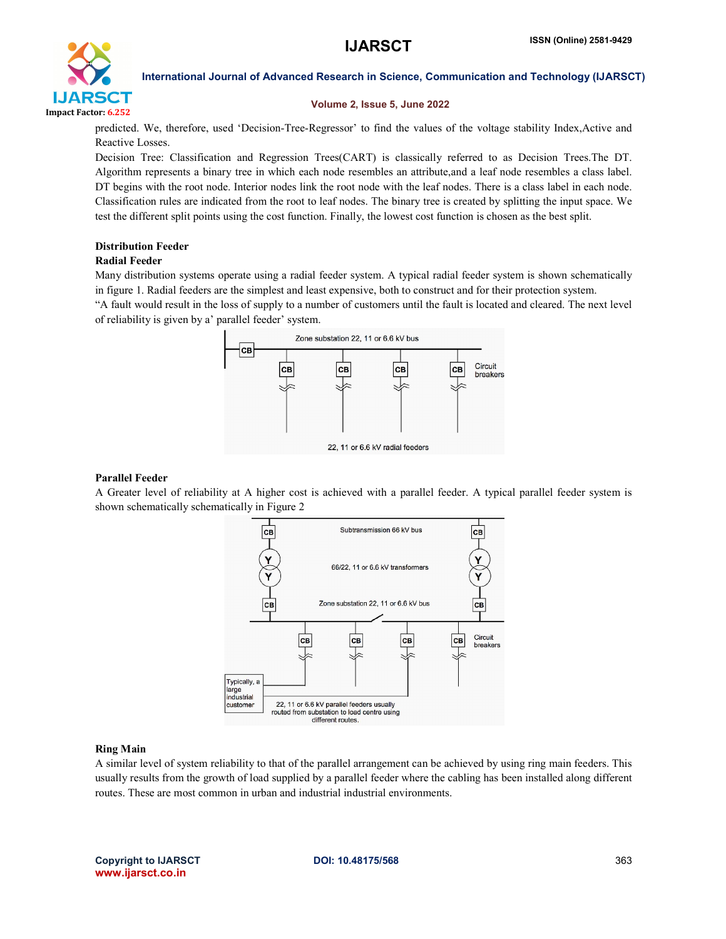

# Volume 2, Issue 5, June 2022

predicted. We, therefore, used 'Decision-Tree-Regressor' to find the values of the voltage stability Index,Active and Reactive Losses.

Decision Tree: Classification and Regression Trees(CART) is classically referred to as Decision Trees.The DT. Algorithm represents a binary tree in which each node resembles an attribute,and a leaf node resembles a class label. DT begins with the root node. Interior nodes link the root node with the leaf nodes. There is a class label in each node. Classification rules are indicated from the root to leaf nodes. The binary tree is created by splitting the input space. We test the different split points using the cost function. Finally, the lowest cost function is chosen as the best split.

# Distribution Feeder

# Radial Feeder

Many distribution systems operate using a radial feeder system. A typical radial feeder system is shown schematically in figure 1. Radial feeders are the simplest and least expensive, both to construct and for their protection system. "A fault would result in the loss of supply to a number of customers until the fault is located and cleared. The next level of reliability is given by a' parallel feeder' system.



# Parallel Feeder

A Greater level of reliability at A higher cost is achieved with a parallel feeder. A typical parallel feeder system is shown schematically schematically in Figure 2



### Ring Main

A similar level of system reliability to that of the parallel arrangement can be achieved by using ring main feeders. This usually results from the growth of load supplied by a parallel feeder where the cabling has been installed along different routes. These are most common in urban and industrial industrial environments.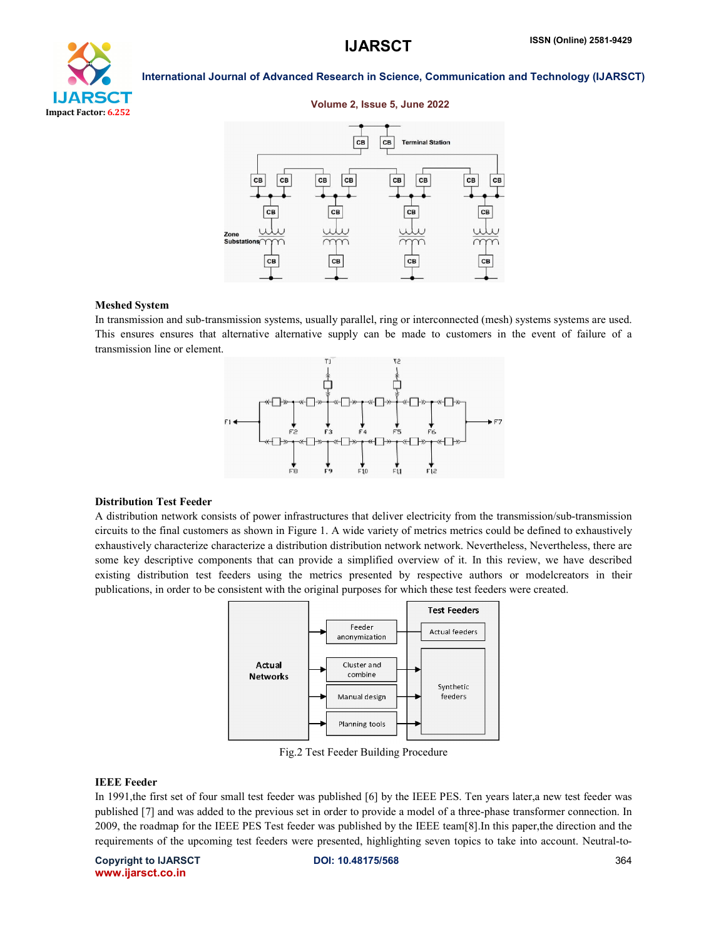

### Volume 2, Issue 5, June 2022



### Meshed System

In transmission and sub-transmission systems, usually parallel, ring or interconnected (mesh) systems systems are used. This ensures ensures that alternative alternative supply can be made to customers in the event of failure of a transmission line or element.



### Distribution Test Feeder

A distribution network consists of power infrastructures that deliver electricity from the transmission/sub circuits to the final customers as shown in Figure 1. A wide variety of metrics metrics could be defined to exhaustively exhaustively characterize characterize a distribution distribution network network. Nevertheless, Nevertheless, there are Nevertheless, there are some key descriptive components that can provide a simplified overview of it. In this review, we have described existing distribution test feeders using the metrics presented by respective authors or modelcreators in their publications, in order to be consistent with the original purposes for which these test feeders were created.



Fig.2 Test Feeder Building Procedure

# IEEE Feeder

In 1991, the first set of four small test feeder was published [6] by the IEEE PES. Ten years later, a new test feeder was published [7] and was added to the previous set in order to provide a model of a three-phase transformer connection. In 2009, the roadmap for the IEEE PES Test feeder was published by the IEEE team[8]. In this paper, the direction and the requirements of the upcoming test feeders were presented, highlighting seven topics to take into account. Neutral-to-

Copyright to IJARSCT www.ijarsct.co.in